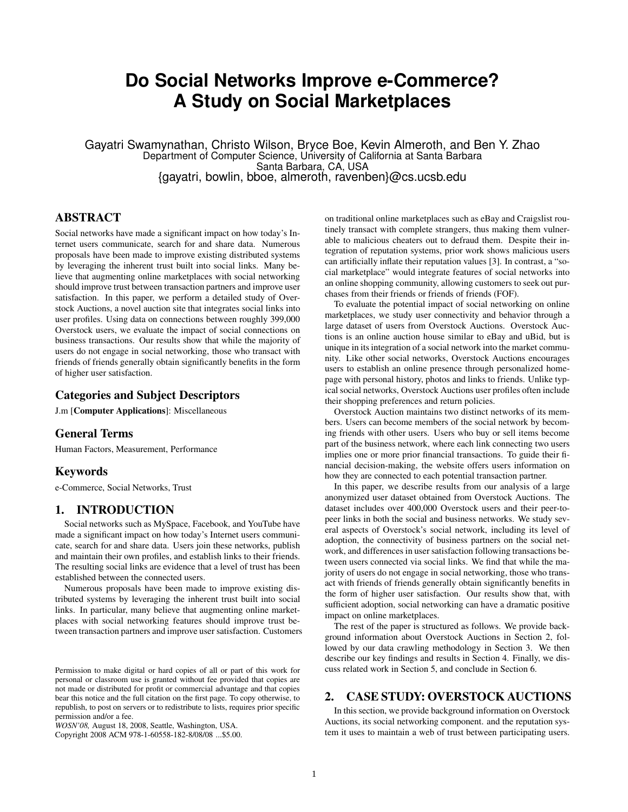# **Do Social Networks Improve e-Commerce? A Study on Social Marketplaces**

Gayatri Swamynathan, Christo Wilson, Bryce Boe, Kevin Almeroth, and Ben Y. Zhao Department of Computer Science, University of California at Santa Barbara Santa Barbara, CA, USA {gayatri, bowlin, bboe, almeroth, ravenben}@cs.ucsb.edu

# **ABSTRACT**

Social networks have made a significant impact on how today's Internet users communicate, search for and share data. Numerous proposals have been made to improve existing distributed systems by leveraging the inherent trust built into social links. Many believe that augmenting online marketplaces with social networking should improve trust between transaction partners and improve user satisfaction. In this paper, we perform a detailed study of Overstock Auctions, a novel auction site that integrates social links into user profiles. Using data on connections between roughly 399,000 Overstock users, we evaluate the impact of social connections on business transactions. Our results show that while the majority of users do not engage in social networking, those who transact with friends of friends generally obtain significantly benefits in the form of higher user satisfaction.

# **Categories and Subject Descriptors**

J.m [**Computer Applications**]: Miscellaneous

## **General Terms**

Human Factors, Measurement, Performance

#### **Keywords**

e-Commerce, Social Networks, Trust

## **1. INTRODUCTION**

Social networks such as MySpace, Facebook, and YouTube have made a significant impact on how today's Internet users communicate, search for and share data. Users join these networks, publish and maintain their own profiles, and establish links to their friends. The resulting social links are evidence that a level of trust has been established between the connected users.

Numerous proposals have been made to improve existing distributed systems by leveraging the inherent trust built into social links. In particular, many believe that augmenting online marketplaces with social networking features should improve trust between transaction partners and improve user satisfaction. Customers

Copyright 2008 ACM 978-1-60558-182-8/08/08 ...\$5.00.

on traditional online marketplaces such as eBay and Craigslist routinely transact with complete strangers, thus making them vulnerable to malicious cheaters out to defraud them. Despite their integration of reputation systems, prior work shows malicious users can artificially inflate their reputation values [3]. In contrast, a "social marketplace" would integrate features of social networks into an online shopping community, allowing customers to seek out purchases from their friends or friends of friends (FOF).

To evaluate the potential impact of social networking on online marketplaces, we study user connectivity and behavior through a large dataset of users from Overstock Auctions. Overstock Auctions is an online auction house similar to eBay and uBid, but is unique in its integration of a social network into the market community. Like other social networks, Overstock Auctions encourages users to establish an online presence through personalized homepage with personal history, photos and links to friends. Unlike typical social networks, Overstock Auctions user profiles often include their shopping preferences and return policies.

Overstock Auction maintains two distinct networks of its members. Users can become members of the social network by becoming friends with other users. Users who buy or sell items become part of the business network, where each link connecting two users implies one or more prior financial transactions. To guide their financial decision-making, the website offers users information on how they are connected to each potential transaction partner.

In this paper, we describe results from our analysis of a large anonymized user dataset obtained from Overstock Auctions. The dataset includes over 400,000 Overstock users and their peer-topeer links in both the social and business networks. We study several aspects of Overstock's social network, including its level of adoption, the connectivity of business partners on the social network, and differences in user satisfaction following transactions between users connected via social links. We find that while the majority of users do not engage in social networking, those who transact with friends of friends generally obtain significantly benefits in the form of higher user satisfaction. Our results show that, with sufficient adoption, social networking can have a dramatic positive impact on online marketplaces.

The rest of the paper is structured as follows. We provide background information about Overstock Auctions in Section 2, followed by our data crawling methodology in Section 3. We then describe our key findings and results in Section 4. Finally, we discuss related work in Section 5, and conclude in Section 6.

## **2. CASE STUDY: OVERSTOCK AUCTIONS**

In this section, we provide background information on Overstock Auctions, its social networking component. and the reputation system it uses to maintain a web of trust between participating users.

Permission to make digital or hard copies of all or part of this work for personal or classroom use is granted without fee provided that copies are not made or distributed for profit or commercial advantage and that copies bear this notice and the full citation on the first page. To copy otherwise, to republish, to post on servers or to redistribute to lists, requires prior specific permission and/or a fee.

*WOSN'08,* August 18, 2008, Seattle, Washington, USA.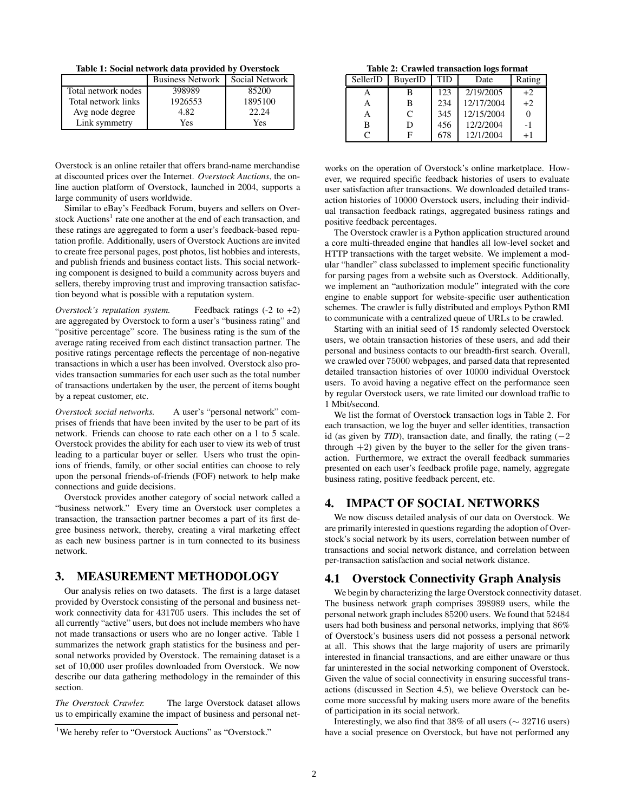**Table 1: Social network data provided by Overstock**

|                     | <b>Business Network</b> | Social Network |
|---------------------|-------------------------|----------------|
| Total network nodes | 398989                  | 85200          |
| Total network links | 1926553                 | 1895100        |
| Avg node degree     | 4.82                    | 22.24          |
| Link symmetry       | Yes                     | Yes            |

Overstock is an online retailer that offers brand-name merchandise at discounted prices over the Internet. *Overstock Auctions*, the online auction platform of Overstock, launched in 2004, supports a large community of users worldwide.

Similar to eBay's Feedback Forum, buyers and sellers on Overstock Auctions<sup>1</sup> rate one another at the end of each transaction, and these ratings are aggregated to form a user's feedback-based reputation profile. Additionally, users of Overstock Auctions are invited to create free personal pages, post photos, list hobbies and interests, and publish friends and business contact lists. This social networking component is designed to build a community across buyers and sellers, thereby improving trust and improving transaction satisfaction beyond what is possible with a reputation system.

*Overstock's reputation system.* Feedback ratings (-2 to +2) are aggregated by Overstock to form a user's "business rating" and "positive percentage" score. The business rating is the sum of the average rating received from each distinct transaction partner. The positive ratings percentage reflects the percentage of non-negative transactions in which a user has been involved. Overstock also provides transaction summaries for each user such as the total number of transactions undertaken by the user, the percent of items bought by a repeat customer, etc.

*Overstock social networks.* A user's "personal network" comprises of friends that have been invited by the user to be part of its network. Friends can choose to rate each other on a 1 to 5 scale. Overstock provides the ability for each user to view its web of trust leading to a particular buyer or seller. Users who trust the opinions of friends, family, or other social entities can choose to rely upon the personal friends-of-friends (FOF) network to help make connections and guide decisions.

Overstock provides another category of social network called a "business network." Every time an Overstock user completes a transaction, the transaction partner becomes a part of its first degree business network, thereby, creating a viral marketing effect as each new business partner is in turn connected to its business network.

# **3. MEASUREMENT METHODOLOGY**

Our analysis relies on two datasets. The first is a large dataset provided by Overstock consisting of the personal and business network connectivity data for 431705 users. This includes the set of all currently "active" users, but does not include members who have not made transactions or users who are no longer active. Table 1 summarizes the network graph statistics for the business and personal networks provided by Overstock. The remaining dataset is a set of 10,000 user profiles downloaded from Overstock. We now describe our data gathering methodology in the remainder of this section.

*The Overstock Crawler.* The large Overstock dataset allows us to empirically examine the impact of business and personal net-

**Table 2: Crawled transaction logs format**

| SellerID | BuyerID      | TID | Date       | Rating |
|----------|--------------|-----|------------|--------|
|          | В            | 123 | 2/19/2005  | $+2$   |
| A        | в            | 234 | 12/17/2004 | $+2$   |
| A        | $\mathsf{C}$ | 345 | 12/15/2004 |        |
| в        | D            | 456 | 12/2/2004  | $-1$   |
|          |              | 678 | 12/1/2004  |        |

works on the operation of Overstock's online marketplace. However, we required specific feedback histories of users to evaluate user satisfaction after transactions. We downloaded detailed transaction histories of 10000 Overstock users, including their individual transaction feedback ratings, aggregated business ratings and positive feedback percentages.

The Overstock crawler is a Python application structured around a core multi-threaded engine that handles all low-level socket and HTTP transactions with the target website. We implement a modular "handler" class subclassed to implement specific functionality for parsing pages from a website such as Overstock. Additionally, we implement an "authorization module" integrated with the core engine to enable support for website-specific user authentication schemes. The crawler is fully distributed and employs Python RMI to communicate with a centralized queue of URLs to be crawled.

Starting with an initial seed of 15 randomly selected Overstock users, we obtain transaction histories of these users, and add their personal and business contacts to our breadth-first search. Overall, we crawled over 75000 webpages, and parsed data that represented detailed transaction histories of over 10000 individual Overstock users. To avoid having a negative effect on the performance seen by regular Overstock users, we rate limited our download traffic to 1 Mbit/second.

We list the format of Overstock transaction logs in Table 2. For each transaction, we log the buyer and seller identities, transaction id (as given by *TID*), transaction date, and finally, the rating  $(-2)$ through  $+2$ ) given by the buyer to the seller for the given transaction. Furthermore, we extract the overall feedback summaries presented on each user's feedback profile page, namely, aggregate business rating, positive feedback percent, etc.

#### **4. IMPACT OF SOCIAL NETWORKS**

We now discuss detailed analysis of our data on Overstock. We are primarily interested in questions regarding the adoption of Overstock's social network by its users, correlation between number of transactions and social network distance, and correlation between per-transaction satisfaction and social network distance.

#### **4.1 Overstock Connectivity Graph Analysis**

We begin by characterizing the large Overstock connectivity dataset. The business network graph comprises 398989 users, while the personal network graph includes 85200 users. We found that 52484 users had both business and personal networks, implying that 86% of Overstock's business users did not possess a personal network at all. This shows that the large majority of users are primarily interested in financial transactions, and are either unaware or thus far uninterested in the social networking component of Overstock. Given the value of social connectivity in ensuring successful transactions (discussed in Section 4.5), we believe Overstock can become more successful by making users more aware of the benefits of participation in its social network.

Interestingly, we also find that 38% of all users (∼ 32716 users) have a social presence on Overstock, but have not performed any

<sup>&</sup>lt;sup>1</sup>We hereby refer to "Overstock Auctions" as "Overstock."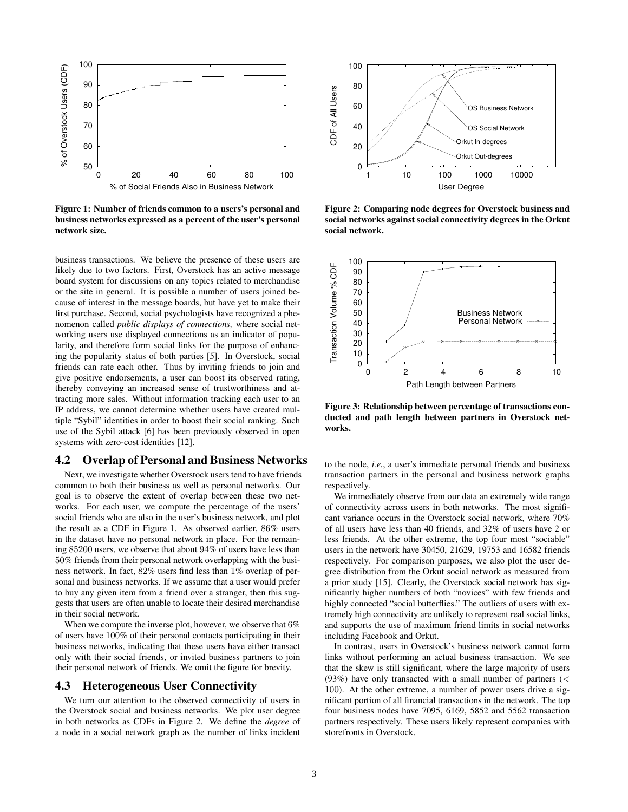

**Figure 1: Number of friends common to a users's personal and business networks expressed as a percent of the user's personal network size.**

business transactions. We believe the presence of these users are likely due to two factors. First, Overstock has an active message board system for discussions on any topics related to merchandise or the site in general. It is possible a number of users joined because of interest in the message boards, but have yet to make their first purchase. Second, social psychologists have recognized a phenomenon called *public displays of connections,* where social networking users use displayed connections as an indicator of popularity, and therefore form social links for the purpose of enhancing the popularity status of both parties [5]. In Overstock, social friends can rate each other. Thus by inviting friends to join and give positive endorsements, a user can boost its observed rating, thereby conveying an increased sense of trustworthiness and attracting more sales. Without information tracking each user to an IP address, we cannot determine whether users have created multiple "Sybil" identities in order to boost their social ranking. Such use of the Sybil attack [6] has been previously observed in open systems with zero-cost identities [12].

## **4.2 Overlap of Personal and Business Networks**

Next, we investigate whether Overstock users tend to have friends common to both their business as well as personal networks. Our goal is to observe the extent of overlap between these two networks. For each user, we compute the percentage of the users' social friends who are also in the user's business network, and plot the result as a CDF in Figure 1. As observed earlier, 86% users in the dataset have no personal network in place. For the remaining 85200 users, we observe that about 94% of users have less than 50% friends from their personal network overlapping with the business network. In fact, 82% users find less than 1% overlap of personal and business networks. If we assume that a user would prefer to buy any given item from a friend over a stranger, then this suggests that users are often unable to locate their desired merchandise in their social network.

When we compute the inverse plot, however, we observe that  $6\%$ of users have 100% of their personal contacts participating in their business networks, indicating that these users have either transact only with their social friends, or invited business partners to join their personal network of friends. We omit the figure for brevity.

#### **4.3 Heterogeneous User Connectivity**

We turn our attention to the observed connectivity of users in the Overstock social and business networks. We plot user degree in both networks as CDFs in Figure 2. We define the *degree* of a node in a social network graph as the number of links incident



**Figure 2: Comparing node degrees for Overstock business and social networks against social connectivity degrees in the Orkut social network.**



**Figure 3: Relationship between percentage of transactions conducted and path length between partners in Overstock networks.**

to the node, *i.e.*, a user's immediate personal friends and business transaction partners in the personal and business network graphs respectively.

We immediately observe from our data an extremely wide range of connectivity across users in both networks. The most significant variance occurs in the Overstock social network, where 70% of all users have less than 40 friends, and 32% of users have 2 or less friends. At the other extreme, the top four most "sociable" users in the network have 30450, 21629, 19753 and 16582 friends respectively. For comparison purposes, we also plot the user degree distribution from the Orkut social network as measured from a prior study [15]. Clearly, the Overstock social network has significantly higher numbers of both "novices" with few friends and highly connected "social butterflies." The outliers of users with extremely high connectivity are unlikely to represent real social links, and supports the use of maximum friend limits in social networks including Facebook and Orkut.

In contrast, users in Overstock's business network cannot form links without performing an actual business transaction. We see that the skew is still significant, where the large majority of users (93%) have only transacted with a small number of partners  $\ll$ 100). At the other extreme, a number of power users drive a significant portion of all financial transactions in the network. The top four business nodes have 7095, 6169, 5852 and 5562 transaction partners respectively. These users likely represent companies with storefronts in Overstock.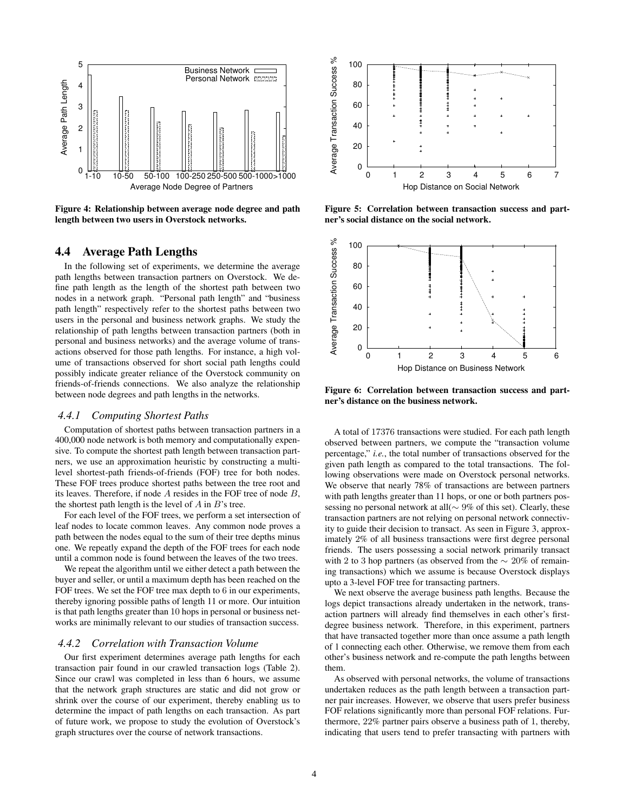

**Figure 4: Relationship between average node degree and path length between two users in Overstock networks.**

## **4.4 Average Path Lengths**

In the following set of experiments, we determine the average path lengths between transaction partners on Overstock. We define path length as the length of the shortest path between two nodes in a network graph. "Personal path length" and "business path length" respectively refer to the shortest paths between two users in the personal and business network graphs. We study the relationship of path lengths between transaction partners (both in personal and business networks) and the average volume of transactions observed for those path lengths. For instance, a high volume of transactions observed for short social path lengths could possibly indicate greater reliance of the Overstock community on friends-of-friends connections. We also analyze the relationship between node degrees and path lengths in the networks.

#### *4.4.1 Computing Shortest Paths*

Computation of shortest paths between transaction partners in a 400,000 node network is both memory and computationally expensive. To compute the shortest path length between transaction partners, we use an approximation heuristic by constructing a multilevel shortest-path friends-of-friends (FOF) tree for both nodes. These FOF trees produce shortest paths between the tree root and its leaves. Therefore, if node A resides in the FOF tree of node B, the shortest path length is the level of  $A$  in  $B$ 's tree.

For each level of the FOF trees, we perform a set intersection of leaf nodes to locate common leaves. Any common node proves a path between the nodes equal to the sum of their tree depths minus one. We repeatly expand the depth of the FOF trees for each node until a common node is found between the leaves of the two trees.

We repeat the algorithm until we either detect a path between the buyer and seller, or until a maximum depth has been reached on the FOF trees. We set the FOF tree max depth to 6 in our experiments, thereby ignoring possible paths of length 11 or more. Our intuition is that path lengths greater than 10 hops in personal or business networks are minimally relevant to our studies of transaction success.

#### *4.4.2 Correlation with Transaction Volume*

Our first experiment determines average path lengths for each transaction pair found in our crawled transaction logs (Table 2). Since our crawl was completed in less than 6 hours, we assume that the network graph structures are static and did not grow or shrink over the course of our experiment, thereby enabling us to determine the impact of path lengths on each transaction. As part of future work, we propose to study the evolution of Overstock's graph structures over the course of network transactions.



**Figure 5: Correlation between transaction success and partner's social distance on the social network.**



**Figure 6: Correlation between transaction success and partner's distance on the business network.**

A total of 17376 transactions were studied. For each path length observed between partners, we compute the "transaction volume percentage," *i.e.*, the total number of transactions observed for the given path length as compared to the total transactions. The following observations were made on Overstock personal networks. We observe that nearly 78% of transactions are between partners with path lengths greater than 11 hops, or one or both partners possessing no personal network at all(∼ 9% of this set). Clearly, these transaction partners are not relying on personal network connectivity to guide their decision to transact. As seen in Figure 3, approximately 2% of all business transactions were first degree personal friends. The users possessing a social network primarily transact with 2 to 3 hop partners (as observed from the  $\sim 20\%$  of remaining transactions) which we assume is because Overstock displays upto a 3-level FOF tree for transacting partners.

We next observe the average business path lengths. Because the logs depict transactions already undertaken in the network, transaction partners will already find themselves in each other's firstdegree business network. Therefore, in this experiment, partners that have transacted together more than once assume a path length of 1 connecting each other. Otherwise, we remove them from each other's business network and re-compute the path lengths between them.

As observed with personal networks, the volume of transactions undertaken reduces as the path length between a transaction partner pair increases. However, we observe that users prefer business FOF relations significantly more than personal FOF relations. Furthermore, 22% partner pairs observe a business path of 1, thereby, indicating that users tend to prefer transacting with partners with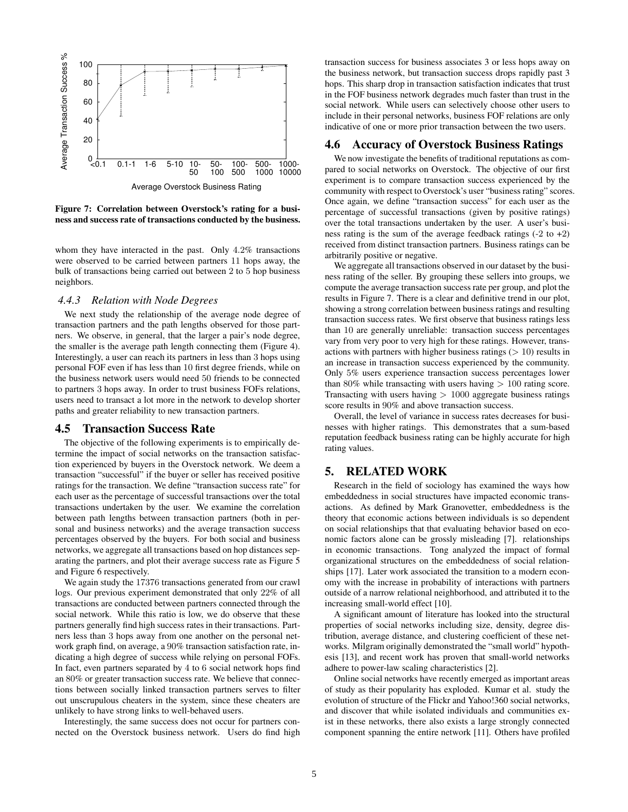

**Figure 7: Correlation between Overstock's rating for a business and success rate of transactions conducted by the business.**

whom they have interacted in the past. Only 4.2% transactions were observed to be carried between partners 11 hops away, the bulk of transactions being carried out between 2 to 5 hop business neighbors.

#### *4.4.3 Relation with Node Degrees*

We next study the relationship of the average node degree of transaction partners and the path lengths observed for those partners. We observe, in general, that the larger a pair's node degree, the smaller is the average path length connecting them (Figure 4). Interestingly, a user can reach its partners in less than 3 hops using personal FOF even if has less than 10 first degree friends, while on the business network users would need 50 friends to be connected to partners 3 hops away. In order to trust business FOFs relations, users need to transact a lot more in the network to develop shorter paths and greater reliability to new transaction partners.

#### **4.5 Transaction Success Rate**

The objective of the following experiments is to empirically determine the impact of social networks on the transaction satisfaction experienced by buyers in the Overstock network. We deem a transaction "successful" if the buyer or seller has received positive ratings for the transaction. We define "transaction success rate" for each user as the percentage of successful transactions over the total transactions undertaken by the user. We examine the correlation between path lengths between transaction partners (both in personal and business networks) and the average transaction success percentages observed by the buyers. For both social and business networks, we aggregate all transactions based on hop distances separating the partners, and plot their average success rate as Figure 5 and Figure 6 respectively.

We again study the 17376 transactions generated from our crawl logs. Our previous experiment demonstrated that only 22% of all transactions are conducted between partners connected through the social network. While this ratio is low, we do observe that these partners generally find high success rates in their transactions. Partners less than 3 hops away from one another on the personal network graph find, on average, a 90% transaction satisfaction rate, indicating a high degree of success while relying on personal FOFs. In fact, even partners separated by 4 to 6 social network hops find an 80% or greater transaction success rate. We believe that connections between socially linked transaction partners serves to filter out unscrupulous cheaters in the system, since these cheaters are unlikely to have strong links to well-behaved users.

Interestingly, the same success does not occur for partners connected on the Overstock business network. Users do find high

transaction success for business associates 3 or less hops away on the business network, but transaction success drops rapidly past 3 hops. This sharp drop in transaction satisfaction indicates that trust in the FOF business network degrades much faster than trust in the social network. While users can selectively choose other users to include in their personal networks, business FOF relations are only indicative of one or more prior transaction between the two users.

#### **4.6 Accuracy of Overstock Business Ratings**

We now investigate the benefits of traditional reputations as compared to social networks on Overstock. The objective of our first experiment is to compare transaction success experienced by the community with respect to Overstock's user "business rating" scores. Once again, we define "transaction success" for each user as the percentage of successful transactions (given by positive ratings) over the total transactions undertaken by the user. A user's business rating is the sum of the average feedback ratings  $(-2 \text{ to } +2)$ received from distinct transaction partners. Business ratings can be arbitrarily positive or negative.

We aggregate all transactions observed in our dataset by the business rating of the seller. By grouping these sellers into groups, we compute the average transaction success rate per group, and plot the results in Figure 7. There is a clear and definitive trend in our plot, showing a strong correlation between business ratings and resulting transaction success rates. We first observe that business ratings less than 10 are generally unreliable: transaction success percentages vary from very poor to very high for these ratings. However, transactions with partners with higher business ratings  $(> 10)$  results in an increase in transaction success experienced by the community. Only 5% users experience transaction success percentages lower than 80% while transacting with users having  $> 100$  rating score. Transacting with users having  $> 1000$  aggregate business ratings score results in 90% and above transaction success.

Overall, the level of variance in success rates decreases for businesses with higher ratings. This demonstrates that a sum-based reputation feedback business rating can be highly accurate for high rating values.

## **5. RELATED WORK**

Research in the field of sociology has examined the ways how embeddedness in social structures have impacted economic transactions. As defined by Mark Granovetter, embeddedness is the theory that economic actions between individuals is so dependent on social relationships that that evaluating behavior based on economic factors alone can be grossly misleading [7]. relationships in economic transactions. Tong analyzed the impact of formal organizational structures on the embeddedness of social relationships [17]. Later work associated the transition to a modern economy with the increase in probability of interactions with partners outside of a narrow relational neighborhood, and attributed it to the increasing small-world effect [10].

A significant amount of literature has looked into the structural properties of social networks including size, density, degree distribution, average distance, and clustering coefficient of these networks. Milgram originally demonstrated the "small world" hypothesis [13], and recent work has proven that small-world networks adhere to power-law scaling characteristics [2].

Online social networks have recently emerged as important areas of study as their popularity has exploded. Kumar et al. study the evolution of structure of the Flickr and Yahoo!360 social networks, and discover that while isolated individuals and communities exist in these networks, there also exists a large strongly connected component spanning the entire network [11]. Others have profiled